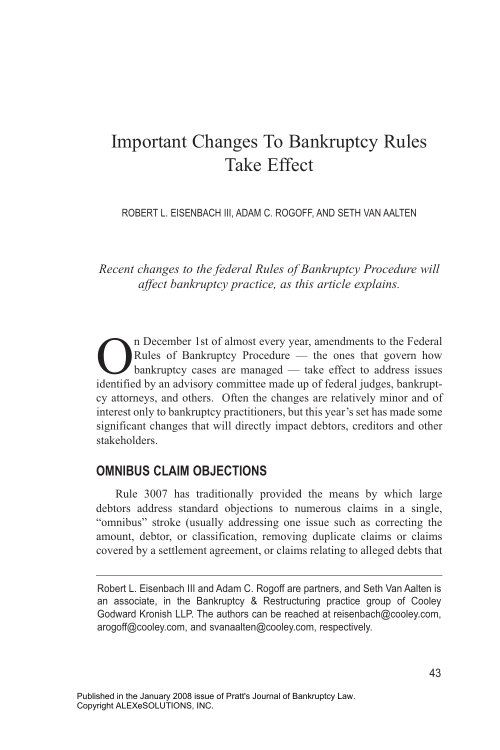# Important Changes To Bankruptcy Rules Take Effect

ROBERT L. EISENBACH III, ADAM C. ROGOFF, AND SETH VAN AALTEN

*Recent changes to the federal Rules of Bankruptcy Procedure will affect bankruptcy practice, as this article explains.*

The December 1st of almost every year, amendments to the Federal<br>Rules of Bankruptcy Procedure — the ones that govern how<br>bankruptcy cases are managed — take effect to address issues Rules of Bankruptcy Procedure — the ones that govern how bankruptcy cases are managed — take effect to address issues identified by an advisory committee made up of federal judges, bankruptcy attorneys, and others. Often the changes are relatively minor and of interest only to bankruptcy practitioners, but this year's set has made some significant changes that will directly impact debtors, creditors and other stakeholders.

#### **OMNIBUS CLAIM OBJECTIONS**

Rule 3007 has traditionally provided the means by which large debtors address standard objections to numerous claims in a single, "omnibus" stroke (usually addressing one issue such as correcting the amount, debtor, or classification, removing duplicate claims or claims covered by a settlement agreement, or claims relating to alleged debts that

Robert L. Eisenbach III and Adam C. Rogoff are partners, and Seth Van Aalten is an associate, in the Bankruptcy & Restructuring practice group of Cooley Godward Kronish LLP. The authors can be reached at reisenbach@cooley.com, arogoff@cooley.com, and svanaalten@cooley.com, respectively.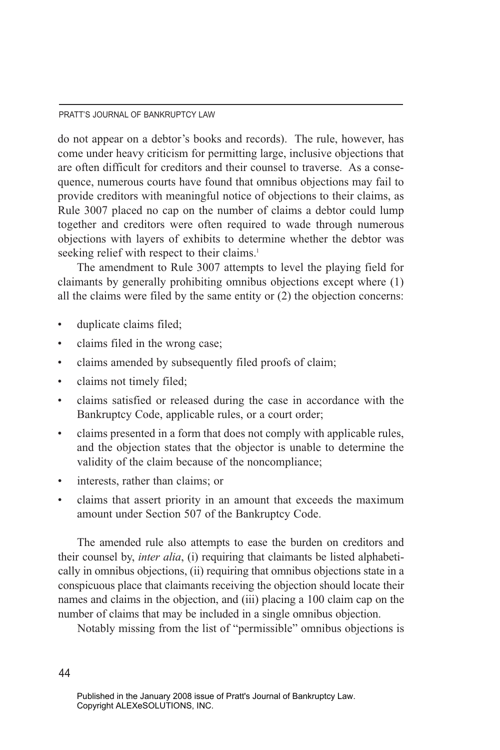#### PRATT'S JOURNAL OF BANKRUPTCY LAW

do not appear on a debtor's books and records). The rule, however, has come under heavy criticism for permitting large, inclusive objections that are often difficult for creditors and their counsel to traverse. As a consequence, numerous courts have found that omnibus objections may fail to provide creditors with meaningful notice of objections to their claims, as Rule 3007 placed no cap on the number of claims a debtor could lump together and creditors were often required to wade through numerous objections with layers of exhibits to determine whether the debtor was seeking relief with respect to their claims.<sup>1</sup>

The amendment to Rule 3007 attempts to level the playing field for claimants by generally prohibiting omnibus objections except where (1) all the claims were filed by the same entity or (2) the objection concerns:

- duplicate claims filed;
- claims filed in the wrong case;
- claims amended by subsequently filed proofs of claim;
- claims not timely filed;
- claims satisfied or released during the case in accordance with the Bankruptcy Code, applicable rules, or a court order;
- claims presented in a form that does not comply with applicable rules, and the objection states that the objector is unable to determine the validity of the claim because of the noncompliance;
- interests, rather than claims; or
- claims that assert priority in an amount that exceeds the maximum amount under Section 507 of the Bankruptcy Code.

The amended rule also attempts to ease the burden on creditors and their counsel by, *inter alia*, (i) requiring that claimants be listed alphabetically in omnibus objections, (ii) requiring that omnibus objections state in a conspicuous place that claimants receiving the objection should locate their names and claims in the objection, and (iii) placing a 100 claim cap on the number of claims that may be included in a single omnibus objection.

Notably missing from the list of "permissible" omnibus objections is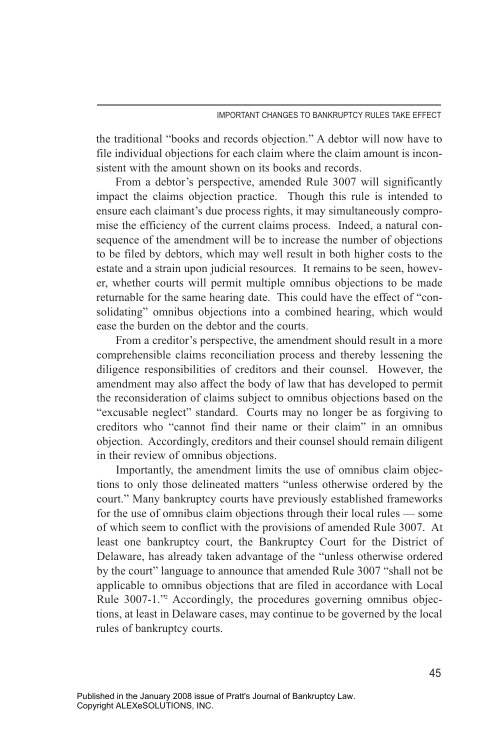the traditional "books and records objection." A debtor will now have to file individual objections for each claim where the claim amount is inconsistent with the amount shown on its books and records.

From a debtor's perspective, amended Rule 3007 will significantly impact the claims objection practice. Though this rule is intended to ensure each claimant's due process rights, it may simultaneously compromise the efficiency of the current claims process. Indeed, a natural consequence of the amendment will be to increase the number of objections to be filed by debtors, which may well result in both higher costs to the estate and a strain upon judicial resources. It remains to be seen, however, whether courts will permit multiple omnibus objections to be made returnable for the same hearing date. This could have the effect of "consolidating" omnibus objections into a combined hearing, which would ease the burden on the debtor and the courts.

From a creditor's perspective, the amendment should result in a more comprehensible claims reconciliation process and thereby lessening the diligence responsibilities of creditors and their counsel. However, the amendment may also affect the body of law that has developed to permit the reconsideration of claims subject to omnibus objections based on the "excusable neglect" standard. Courts may no longer be as forgiving to creditors who "cannot find their name or their claim" in an omnibus objection. Accordingly, creditors and their counsel should remain diligent in their review of omnibus objections.

Importantly, the amendment limits the use of omnibus claim objections to only those delineated matters "unless otherwise ordered by the court." Many bankruptcy courts have previously established frameworks for the use of omnibus claim objections through their local rules — some of which seem to conflict with the provisions of amended Rule 3007. At least one bankruptcy court, the Bankruptcy Court for the District of Delaware, has already taken advantage of the "unless otherwise ordered by the court" language to announce that amended Rule 3007 "shall not be applicable to omnibus objections that are filed in accordance with Local Rule 3007-1." Accordingly, the procedures governing omnibus objections, at least in Delaware cases, may continue to be governed by the local rules of bankruptcy courts.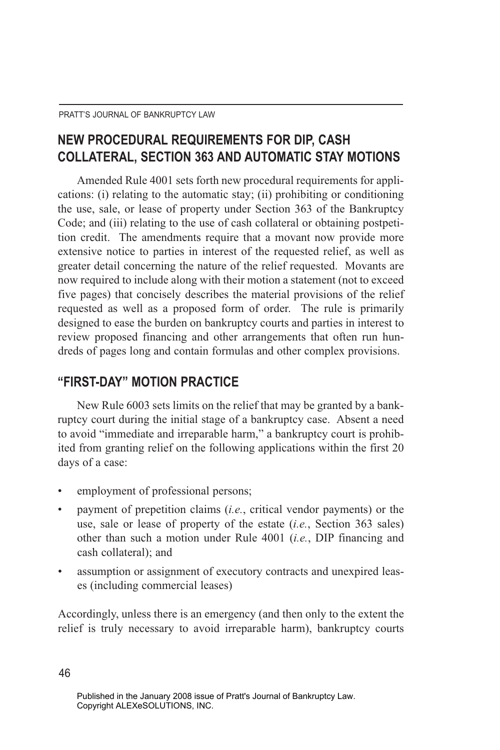# **NEW PROCEDURAL REQUIREMENTS FOR DIP, CASH COLLATERAL, SECTION 363 AND AUTOMATIC STAY MOTIONS**

Amended Rule 4001 sets forth new procedural requirements for applications: (i) relating to the automatic stay; (ii) prohibiting or conditioning the use, sale, or lease of property under Section 363 of the Bankruptcy Code; and (iii) relating to the use of cash collateral or obtaining postpetition credit. The amendments require that a movant now provide more extensive notice to parties in interest of the requested relief, as well as greater detail concerning the nature of the relief requested. Movants are now required to include along with their motion a statement (not to exceed five pages) that concisely describes the material provisions of the relief requested as well as a proposed form of order. The rule is primarily designed to ease the burden on bankruptcy courts and parties in interest to review proposed financing and other arrangements that often run hundreds of pages long and contain formulas and other complex provisions.

### **"FIRST-DAY" MOTION PRACTICE**

New Rule 6003 sets limits on the relief that may be granted by a bankruptcy court during the initial stage of a bankruptcy case. Absent a need to avoid "immediate and irreparable harm," a bankruptcy court is prohibited from granting relief on the following applications within the first 20 days of a case:

- employment of professional persons;
- payment of prepetition claims (*i.e.*, critical vendor payments) or the use, sale or lease of property of the estate (*i.e.*, Section 363 sales) other than such a motion under Rule 4001 (*i.e.*, DIP financing and cash collateral); and
- assumption or assignment of executory contracts and unexpired leases (including commercial leases)

Accordingly, unless there is an emergency (and then only to the extent the relief is truly necessary to avoid irreparable harm), bankruptcy courts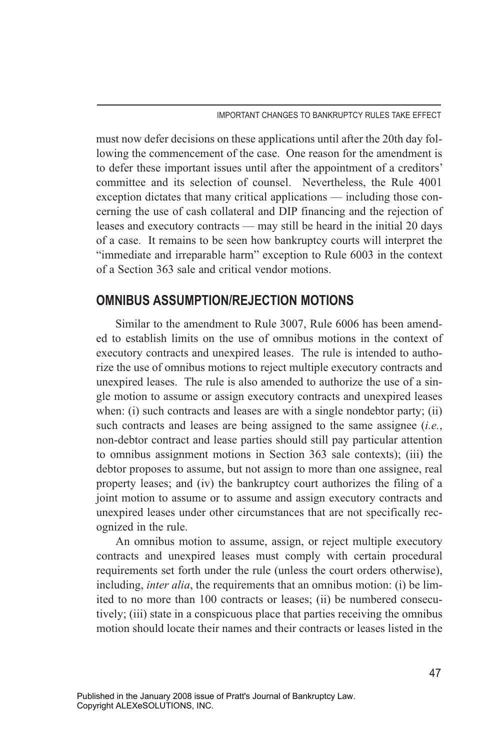must now defer decisions on these applications until after the 20th day following the commencement of the case. One reason for the amendment is to defer these important issues until after the appointment of a creditors' committee and its selection of counsel. Nevertheless, the Rule 4001 exception dictates that many critical applications — including those concerning the use of cash collateral and DIP financing and the rejection of leases and executory contracts — may still be heard in the initial 20 days of a case. It remains to be seen how bankruptcy courts will interpret the "immediate and irreparable harm" exception to Rule 6003 in the context of a Section 363 sale and critical vendor motions.

#### **OMNIBUS ASSUMPTION/REJECTION MOTIONS**

Similar to the amendment to Rule 3007, Rule 6006 has been amended to establish limits on the use of omnibus motions in the context of executory contracts and unexpired leases. The rule is intended to authorize the use of omnibus motions to reject multiple executory contracts and unexpired leases. The rule is also amended to authorize the use of a single motion to assume or assign executory contracts and unexpired leases when: (i) such contracts and leases are with a single nondebtor party; (ii) such contracts and leases are being assigned to the same assignee (*i.e.*, non-debtor contract and lease parties should still pay particular attention to omnibus assignment motions in Section 363 sale contexts); (iii) the debtor proposes to assume, but not assign to more than one assignee, real property leases; and (iv) the bankruptcy court authorizes the filing of a joint motion to assume or to assume and assign executory contracts and unexpired leases under other circumstances that are not specifically recognized in the rule.

An omnibus motion to assume, assign, or reject multiple executory contracts and unexpired leases must comply with certain procedural requirements set forth under the rule (unless the court orders otherwise), including, *inter alia*, the requirements that an omnibus motion: (i) be limited to no more than 100 contracts or leases; (ii) be numbered consecutively; (iii) state in a conspicuous place that parties receiving the omnibus motion should locate their names and their contracts or leases listed in the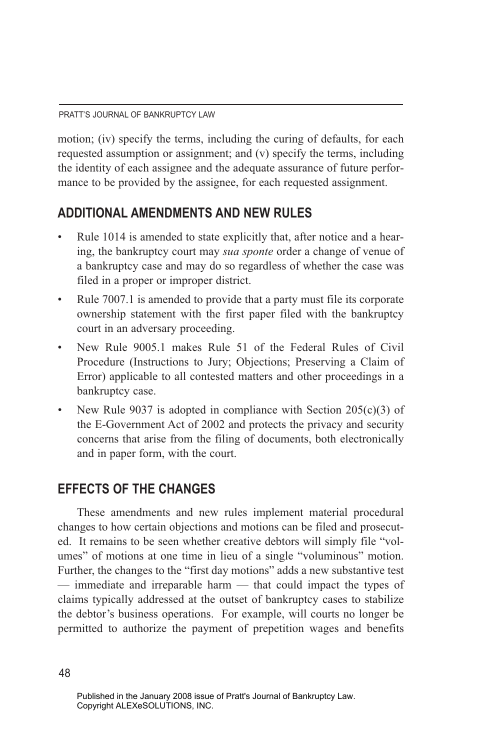motion; (iv) specify the terms, including the curing of defaults, for each requested assumption or assignment; and (v) specify the terms, including the identity of each assignee and the adequate assurance of future performance to be provided by the assignee, for each requested assignment.

## **ADDITIONAL AMENDMENTS AND NEW RULES**

- Rule 1014 is amended to state explicitly that, after notice and a hearing, the bankruptcy court may *sua sponte* order a change of venue of a bankruptcy case and may do so regardless of whether the case was filed in a proper or improper district.
- Rule 7007.1 is amended to provide that a party must file its corporate ownership statement with the first paper filed with the bankruptcy court in an adversary proceeding.
- New Rule 9005.1 makes Rule 51 of the Federal Rules of Civil Procedure (Instructions to Jury; Objections; Preserving a Claim of Error) applicable to all contested matters and other proceedings in a bankruptcy case.
- New Rule 9037 is adopted in compliance with Section  $205(c)(3)$  of the E-Government Act of 2002 and protects the privacy and security concerns that arise from the filing of documents, both electronically and in paper form, with the court.

# **EFFECTS OF THE CHANGES**

These amendments and new rules implement material procedural changes to how certain objections and motions can be filed and prosecuted. It remains to be seen whether creative debtors will simply file "volumes" of motions at one time in lieu of a single "voluminous" motion. Further, the changes to the "first day motions" adds a new substantive test — immediate and irreparable harm — that could impact the types of claims typically addressed at the outset of bankruptcy cases to stabilize the debtor's business operations. For example, will courts no longer be permitted to authorize the payment of prepetition wages and benefits

Published in the January 2008 issue of Pratt's Journal of Bankruptcy Law. Copyright ALEXeSOLUTIONS, INC.